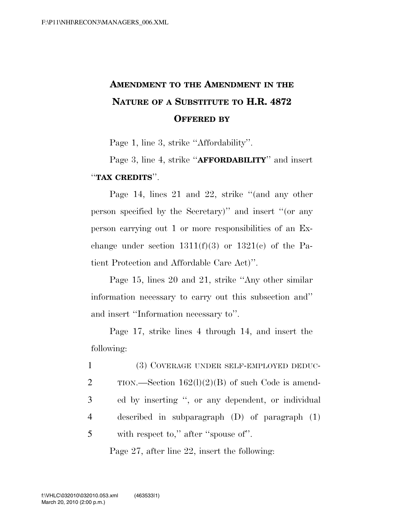# **AMENDMENT TO THE AMENDMENT IN THE NATURE OF A SUBSTITUTE TO H.R. 4872 OFFERED BY**

Page 1, line 3, strike ''Affordability''.

Page 3, line 4, strike ''**AFFORDABILITY**'' and insert ''**TAX CREDITS**''.

Page 14, lines 21 and 22, strike ''(and any other person specified by the Secretary)'' and insert ''(or any person carrying out 1 or more responsibilities of an Exchange under section  $1311(f)(3)$  or  $1321(e)$  of the Patient Protection and Affordable Care Act)''.

Page 15, lines 20 and 21, strike ''Any other similar information necessary to carry out this subsection and'' and insert ''Information necessary to''.

Page 17, strike lines 4 through 14, and insert the following:

| $\mathbf{1}$ | (3) COVERAGE UNDER SELF-EMPLOYED DEDUC-             |
|--------------|-----------------------------------------------------|
| 2            | TION.—Section $162(1)(2)(B)$ of such Code is amend- |
| 3            | ed by inserting ", or any dependent, or individual  |
| 4            | described in subparagraph $(D)$ of paragraph $(1)$  |
| 5            | with respect to," after "spouse of".                |

Page 27, after line 22, insert the following: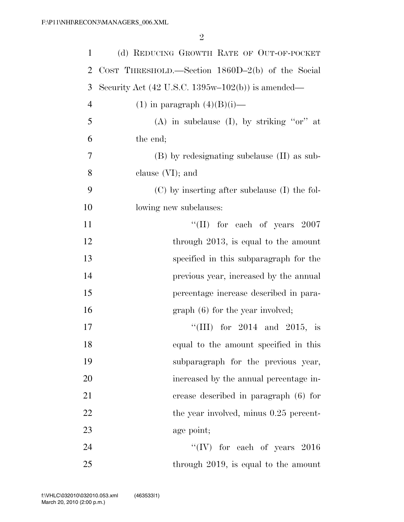| $\mathbf{1}$   | (d) REDUCING GROWTH RATE OF OUT-OF-POCKET                                  |
|----------------|----------------------------------------------------------------------------|
| $\overline{2}$ | COST THRESHOLD.—Section $1860D-2(b)$ of the Social                         |
| 3              | Security Act $(42 \text{ U.S.C. } 1395\text{w}-102(\text{b}))$ is amended— |
| $\overline{4}$ | $(1)$ in paragraph $(4)(B)(i)$ —                                           |
| 5              | (A) in subclause (I), by striking " $or$ " at                              |
| 6              | the end;                                                                   |
| 7              | (B) by redesignating subclause (II) as sub-                                |
| 8              | clause $(VI)$ ; and                                                        |
| 9              | $(C)$ by inserting after subclause (I) the fol-                            |
| 10             | lowing new subclauses:                                                     |
| 11             | "(II) for each of years $2007$                                             |
| 12             | through 2013, is equal to the amount                                       |
| 13             | specified in this subparagraph for the                                     |
| 14             | previous year, increased by the annual                                     |
| 15             | percentage increase described in para-                                     |
| 16             | $graph(6)$ for the year involved;                                          |
| 17             | "(III) for $2014$ and $2015$ , is                                          |
| 18             | equal to the amount specified in this                                      |
| 19             | subparagraph for the previous year,                                        |
| 20             | increased by the annual percentage in-                                     |
| 21             | crease described in paragraph (6) for                                      |
| 22             | the year involved, minus 0.25 percent-                                     |
| 23             | age point;                                                                 |
| 24             | "(IV) for each of years $2016$                                             |
| 25             | through $2019$ , is equal to the amount                                    |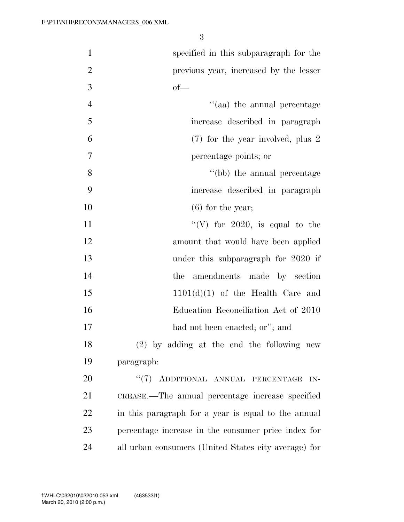| $\mathbf{1}$   | specified in this subparagraph for the               |
|----------------|------------------------------------------------------|
| $\overline{2}$ | previous year, increased by the lesser               |
| 3              | $of$ —                                               |
| $\overline{4}$ | "(aa) the annual percentage                          |
| 5              | increase described in paragraph                      |
| 6              | $(7)$ for the year involved, plus 2                  |
| $\overline{7}$ | percentage points; or                                |
| 8              | "(bb) the annual percentage                          |
| 9              | increase described in paragraph                      |
| 10             | $(6)$ for the year;                                  |
| 11             | "(V) for 2020, is equal to the                       |
| 12             | amount that would have been applied                  |
| 13             | under this subparagraph for 2020 if                  |
| 14             | amendments made by section<br>the                    |
| 15             | $1101(d)(1)$ of the Health Care and                  |
| 16             | Education Reconciliation Act of 2010                 |
| 17             | had not been enacted; or"; and                       |
| 18             | $(2)$ by adding at the end the following new         |
| 19             | paragraph:                                           |
| 20             | "(7) ADDITIONAL ANNUAL PERCENTAGE<br>IN-             |
| 21             | CREASE.—The annual percentage increase specified     |
| 22             | in this paragraph for a year is equal to the annual  |
| 23             | percentage increase in the consumer price index for  |
| 24             | all urban consumers (United States city average) for |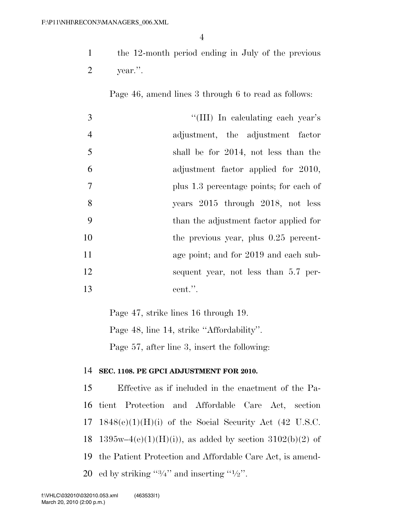the 12-month period ending in July of the previous year.''.

Page 46, amend lines 3 through 6 to read as follows:

| 3              | "(III) In calculating each year's       |
|----------------|-----------------------------------------|
| $\overline{4}$ | adjustment, the adjustment factor       |
| 5              | shall be for 2014, not less than the    |
| 6              | adjustment factor applied for 2010,     |
| $\overline{7}$ | plus 1.3 percentage points; for each of |
| 8              | years 2015 through 2018, not less       |
| 9              | than the adjustment factor applied for  |
| 10             | the previous year, plus $0.25$ percent- |
| 11             | age point; and for 2019 and each sub-   |
| 12             | sequent year, not less than 5.7 per-    |
| 13             | cent.".                                 |

Page 47, strike lines 16 through 19.

Page 48, line 14, strike ''Affordability''.

Page 57, after line 3, insert the following:

### **SEC. 1108. PE GPCI ADJUSTMENT FOR 2010.**

 Effective as if included in the enactment of the Pa- tient Protection and Affordable Care Act, section  $1848(e)(1)(H)(i)$  of the Social Security Act (42 U.S.C. 18 1395w–4(e)(1)(H)(i)), as added by section 3102(b)(2) of the Patient Protection and Affordable Care Act, is amend-20 ed by striking " $3/4$ " and inserting " $1/2$ ".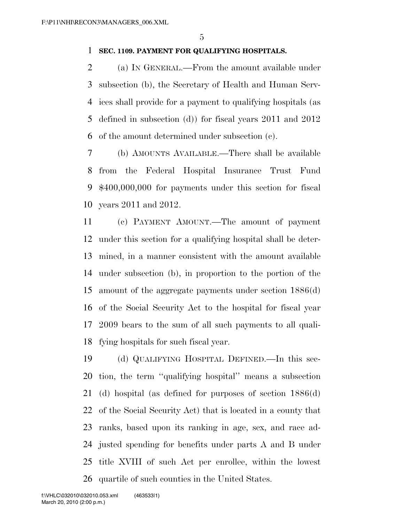### **SEC. 1109. PAYMENT FOR QUALIFYING HOSPITALS.**

 (a) IN GENERAL.—From the amount available under subsection (b), the Secretary of Health and Human Serv- ices shall provide for a payment to qualifying hospitals (as defined in subsection (d)) for fiscal years 2011 and 2012 of the amount determined under subsection (c).

 (b) AMOUNTS AVAILABLE.—There shall be available from the Federal Hospital Insurance Trust Fund \$400,000,000 for payments under this section for fiscal years 2011 and 2012.

 (c) PAYMENT AMOUNT.—The amount of payment under this section for a qualifying hospital shall be deter- mined, in a manner consistent with the amount available under subsection (b), in proportion to the portion of the amount of the aggregate payments under section 1886(d) of the Social Security Act to the hospital for fiscal year 2009 bears to the sum of all such payments to all quali-fying hospitals for such fiscal year.

 (d) QUALIFYING HOSPITAL DEFINED.—In this sec- tion, the term ''qualifying hospital'' means a subsection (d) hospital (as defined for purposes of section 1886(d) of the Social Security Act) that is located in a county that ranks, based upon its ranking in age, sex, and race ad- justed spending for benefits under parts A and B under title XVIII of such Act per enrollee, within the lowest quartile of such counties in the United States.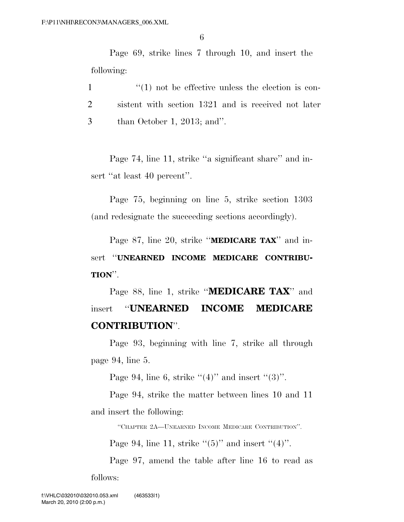Page 69, strike lines 7 through 10, and insert the following:

1  $\frac{1}{1}$  and the effective unless the election is con-2 sistent with section 1321 and is received not later 3 than October 1, 2013; and''.

Page 74, line 11, strike ''a significant share'' and insert "at least 40 percent".

Page 75, beginning on line 5, strike section 1303 (and redesignate the succeeding sections accordingly).

Page 87, line 20, strike ''**MEDICARE TAX**'' and insert ''**UNEARNED INCOME MEDICARE CONTRIBU-TION**''.

Page 88, line 1, strike ''**MEDICARE TAX**'' and insert ''**UNEARNED INCOME MEDICARE CONTRIBUTION**''.

Page 93, beginning with line 7, strike all through page 94, line 5.

Page 94, line 6, strike  $(4)$ " and insert  $(3)$ ".

Page 94, strike the matter between lines 10 and 11 and insert the following:

''CHAPTER 2A—UNEARNED INCOME MEDICARE CONTRIBUTION''.

Page 94, line 11, strike  $\cdot\cdot(5)$ " and insert  $\cdot\cdot(4)$ ".

Page 97, amend the table after line 16 to read as follows: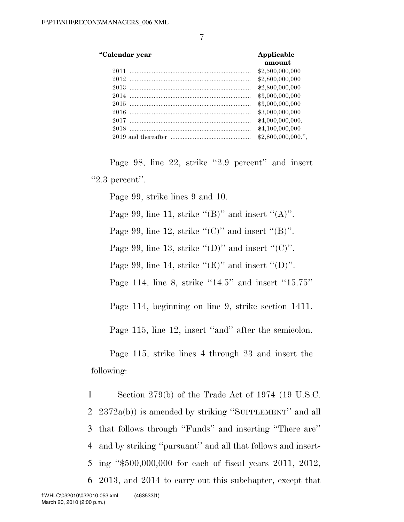#### **''Calendar year Applicable**

| amount            |
|-------------------|
| \$2,500,000,000   |
| \$2,800,000,000   |
| \$2,800,000,000   |
| \$3,000,000,000   |
| \$3,000,000,000   |
| \$3,000,000,000   |
| \$4,000,000,000.  |
| \$4,100,000,000   |
| \$2,800,000,000." |

Page 98, line 22, strike "2.9 percent" and insert  $"2.3$  percent".

Page 99, strike lines 9 and 10.

Page 99, line 11, strike  $"({\rm B})"$  and insert  $"({\rm A})"$ . Page 99, line 12, strike " $(C)$ " and insert " $(B)$ ".

Page 99, line 13, strike " $(D)$ " and insert " $(C)$ ".

Page 99, line 14, strike " $(E)$ " and insert " $(D)$ ".

Page 114, line 8, strike "14.5" and insert "15.75"

Page 114, beginning on line 9, strike section 1411.

Page 115, line 12, insert "and" after the semicolon.

Page 115, strike lines 4 through 23 and insert the following:

 Section 279(b) of the Trade Act of 1974 (19 U.S.C. 2372a(b)) is amended by striking ''SUPPLEMENT'' and all that follows through ''Funds'' and inserting ''There are'' and by striking ''pursuant'' and all that follows and insert- ing ''\$500,000,000 for each of fiscal years 2011, 2012, 2013, and 2014 to carry out this subchapter, except that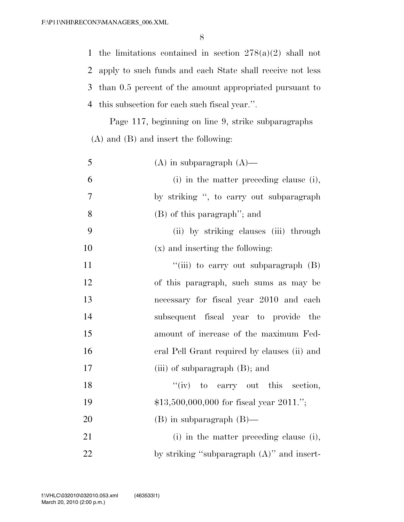the limitations contained in section 278(a)(2) shall not apply to such funds and each State shall receive not less than 0.5 percent of the amount appropriated pursuant to this subsection for each such fiscal year.''.

Page 117, beginning on line 9, strike subparagraphs (A) and (B) and insert the following:

| 5              | $(A)$ in subparagraph $(A)$ —                 |
|----------------|-----------------------------------------------|
| 6              | (i) in the matter preceding clause (i),       |
| $\overline{7}$ | by striking ", to carry out subparagraph      |
| 8              | (B) of this paragraph"; and                   |
| 9              | (ii) by striking clauses (iii) through        |
| 10             | (x) and inserting the following:              |
| 11             | "(iii) to carry out subparagraph $(B)$        |
| 12             | of this paragraph, such sums as may be        |
| 13             | necessary for fiscal year 2010 and each       |
| 14             | subsequent fiscal year to provide the         |
| 15             | amount of increase of the maximum Fed-        |
| 16             | eral Pell Grant required by clauses (ii) and  |
| 17             | (iii) of subparagraph $(B)$ ; and             |
| 18             | $f'(iv)$ to carry out this section,           |
| 19             | $$13,500,000,000$ for fiscal year 2011.";     |
| 20             | $(B)$ in subparagraph $(B)$ —                 |
| 21             | (i) in the matter preceding clause (i),       |
| 22             | by striking "subparagraph $(A)$ " and insert- |